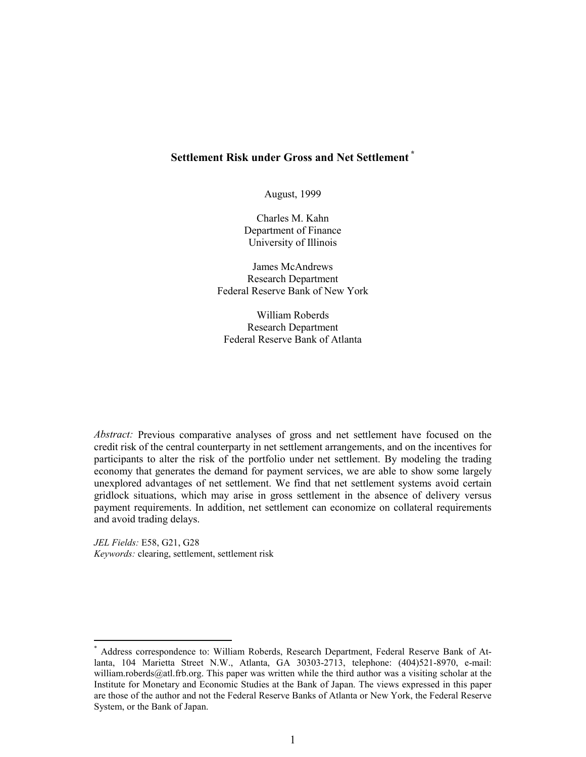## **Settlement Risk under Gross and Net Settlement \***

August, 1999

Charles M. Kahn Department of Finance University of Illinois

James McAndrews Research Department Federal Reserve Bank of New York

William Roberds Research Department Federal Reserve Bank of Atlanta

*Abstract:* Previous comparative analyses of gross and net settlement have focused on the credit risk of the central counterparty in net settlement arrangements, and on the incentives for participants to alter the risk of the portfolio under net settlement. By modeling the trading economy that generates the demand for payment services, we are able to show some largely unexplored advantages of net settlement. We find that net settlement systems avoid certain gridlock situations, which may arise in gross settlement in the absence of delivery versus payment requirements. In addition, net settlement can economize on collateral requirements and avoid trading delays.

*JEL Fields:* E58, G21, G28 *Keywords:* clearing, settlement, settlement risk

 $\overline{a}$ 

<sup>\*</sup> Address correspondence to: William Roberds, Research Department, Federal Reserve Bank of Atlanta, 104 Marietta Street N.W., Atlanta, GA 30303-2713, telephone: (404)521-8970, e-mail: william.roberds@atl.frb.org. This paper was written while the third author was a visiting scholar at the Institute for Monetary and Economic Studies at the Bank of Japan. The views expressed in this paper are those of the author and not the Federal Reserve Banks of Atlanta or New York, the Federal Reserve System, or the Bank of Japan.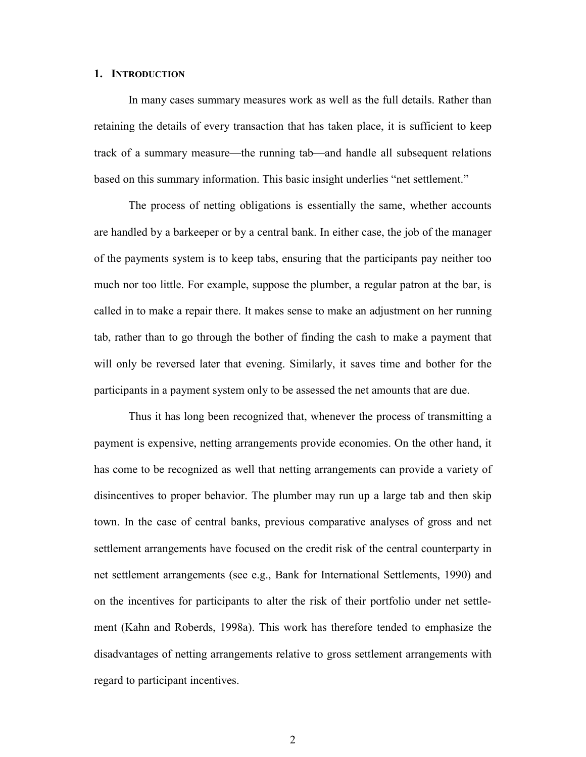### **1. INTRODUCTION**

In many cases summary measures work as well as the full details. Rather than retaining the details of every transaction that has taken place, it is sufficient to keep track of a summary measure—the running tab—and handle all subsequent relations based on this summary information. This basic insight underlies "net settlement."

The process of netting obligations is essentially the same, whether accounts are handled by a barkeeper or by a central bank. In either case, the job of the manager of the payments system is to keep tabs, ensuring that the participants pay neither too much nor too little. For example, suppose the plumber, a regular patron at the bar, is called in to make a repair there. It makes sense to make an adjustment on her running tab, rather than to go through the bother of finding the cash to make a payment that will only be reversed later that evening. Similarly, it saves time and bother for the participants in a payment system only to be assessed the net amounts that are due.

Thus it has long been recognized that, whenever the process of transmitting a payment is expensive, netting arrangements provide economies. On the other hand, it has come to be recognized as well that netting arrangements can provide a variety of disincentives to proper behavior. The plumber may run up a large tab and then skip town. In the case of central banks, previous comparative analyses of gross and net settlement arrangements have focused on the credit risk of the central counterparty in net settlement arrangements (see e.g., Bank for International Settlements, 1990) and on the incentives for participants to alter the risk of their portfolio under net settlement (Kahn and Roberds, 1998a). This work has therefore tended to emphasize the disadvantages of netting arrangements relative to gross settlement arrangements with regard to participant incentives.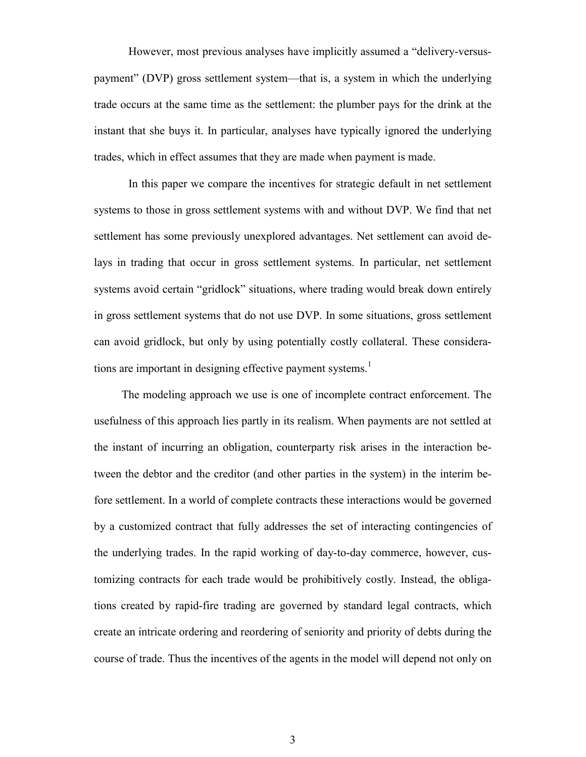However, most previous analyses have implicitly assumed a "delivery-versuspayment" (DVP) gross settlement system—that is, a system in which the underlying trade occurs at the same time as the settlement: the plumber pays for the drink at the instant that she buys it. In particular, analyses have typically ignored the underlying trades, which in effect assumes that they are made when payment is made.

In this paper we compare the incentives for strategic default in net settlement systems to those in gross settlement systems with and without DVP. We find that net settlement has some previously unexplored advantages. Net settlement can avoid delays in trading that occur in gross settlement systems. In particular, net settlement systems avoid certain "gridlock" situations, where trading would break down entirely in gross settlement systems that do not use DVP. In some situations, gross settlement can avoid gridlock, but only by using potentially costly collateral. These considerations are important in designing effective payment systems.<sup>1</sup>

The modeling approach we use is one of incomplete contract enforcement. The usefulness of this approach lies partly in its realism. When payments are not settled at the instant of incurring an obligation, counterparty risk arises in the interaction between the debtor and the creditor (and other parties in the system) in the interim before settlement. In a world of complete contracts these interactions would be governed by a customized contract that fully addresses the set of interacting contingencies of the underlying trades. In the rapid working of day-to-day commerce, however, customizing contracts for each trade would be prohibitively costly. Instead, the obligations created by rapid-fire trading are governed by standard legal contracts, which create an intricate ordering and reordering of seniority and priority of debts during the course of trade. Thus the incentives of the agents in the model will depend not only on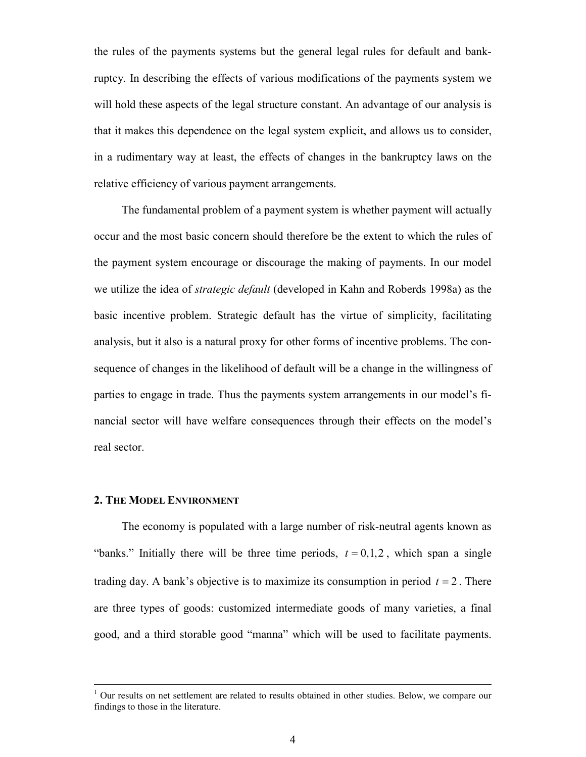the rules of the payments systems but the general legal rules for default and bankruptcy. In describing the effects of various modifications of the payments system we will hold these aspects of the legal structure constant. An advantage of our analysis is that it makes this dependence on the legal system explicit, and allows us to consider, in a rudimentary way at least, the effects of changes in the bankruptcy laws on the relative efficiency of various payment arrangements.

The fundamental problem of a payment system is whether payment will actually occur and the most basic concern should therefore be the extent to which the rules of the payment system encourage or discourage the making of payments. In our model we utilize the idea of *strategic default* (developed in Kahn and Roberds 1998a) as the basic incentive problem. Strategic default has the virtue of simplicity, facilitating analysis, but it also is a natural proxy for other forms of incentive problems. The consequence of changes in the likelihood of default will be a change in the willingness of parties to engage in trade. Thus the payments system arrangements in our model's financial sector will have welfare consequences through their effects on the model's real sector.

### **2. THE MODEL ENVIRONMENT**

The economy is populated with a large number of risk-neutral agents known as "banks." Initially there will be three time periods,  $t = 0, 1, 2$ , which span a single trading day. A bank's objective is to maximize its consumption in period  $t = 2$ . There are three types of goods: customized intermediate goods of many varieties, a final good, and a third storable good "manna" which will be used to facilitate payments.

 $\frac{1}{1}$  $<sup>1</sup>$  Our results on net settlement are related to results obtained in other studies. Below, we compare our</sup> findings to those in the literature.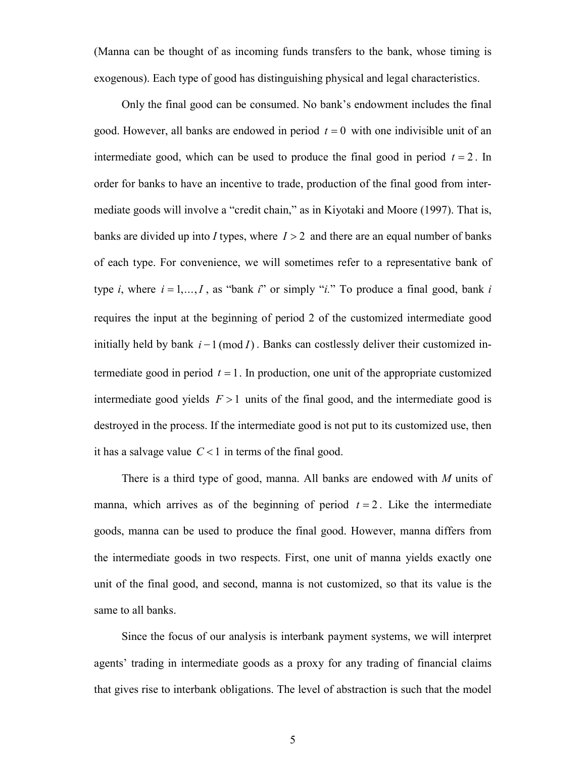(Manna can be thought of as incoming funds transfers to the bank, whose timing is exogenous). Each type of good has distinguishing physical and legal characteristics.

Only the final good can be consumed. No bank's endowment includes the final good. However, all banks are endowed in period  $t = 0$  with one indivisible unit of an intermediate good, which can be used to produce the final good in period  $t = 2$ . In order for banks to have an incentive to trade, production of the final good from intermediate goods will involve a "credit chain," as in Kiyotaki and Moore (1997). That is, banks are divided up into *I* types, where  $I > 2$  and there are an equal number of banks of each type. For convenience, we will sometimes refer to a representative bank of type *i*, where  $i = 1, ..., I$ , as "bank *i*" or simply "*i*." To produce a final good, bank *i* requires the input at the beginning of period 2 of the customized intermediate good initially held by bank  $i-1 \pmod{I}$ . Banks can costlessly deliver their customized intermediate good in period  $t = 1$ . In production, one unit of the appropriate customized intermediate good yields  $F > 1$  units of the final good, and the intermediate good is destroyed in the process. If the intermediate good is not put to its customized use, then it has a salvage value  $C < 1$  in terms of the final good.

There is a third type of good, manna. All banks are endowed with *M* units of manna, which arrives as of the beginning of period  $t = 2$ . Like the intermediate goods, manna can be used to produce the final good. However, manna differs from the intermediate goods in two respects. First, one unit of manna yields exactly one unit of the final good, and second, manna is not customized, so that its value is the same to all banks.

Since the focus of our analysis is interbank payment systems, we will interpret agents' trading in intermediate goods as a proxy for any trading of financial claims that gives rise to interbank obligations. The level of abstraction is such that the model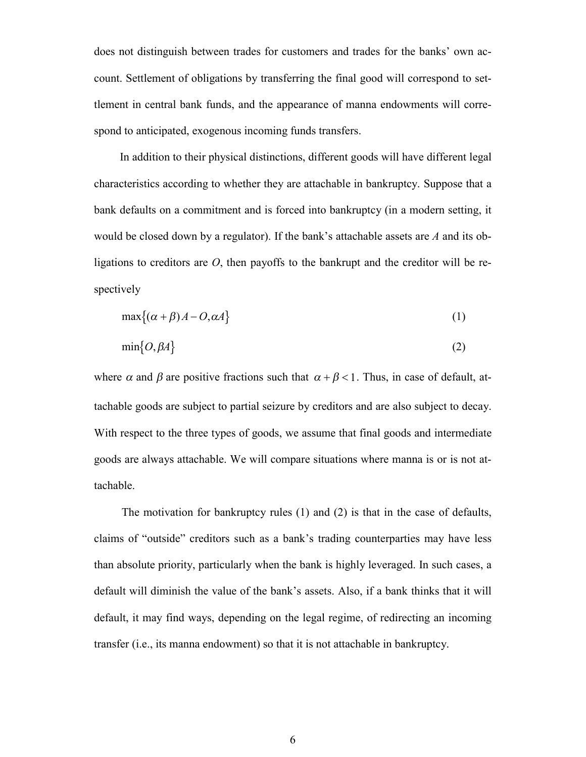does not distinguish between trades for customers and trades for the banks' own account. Settlement of obligations by transferring the final good will correspond to settlement in central bank funds, and the appearance of manna endowments will correspond to anticipated, exogenous incoming funds transfers.

In addition to their physical distinctions, different goods will have different legal characteristics according to whether they are attachable in bankruptcy. Suppose that a bank defaults on a commitment and is forced into bankruptcy (in a modern setting, it would be closed down by a regulator). If the bank's attachable assets are *A* and its obligations to creditors are *O*, then payoffs to the bankrupt and the creditor will be respectively

$$
\max\{(\alpha + \beta)A - O, \alpha A\}
$$
 (1)

$$
\min\{O, \beta A\} \tag{2}
$$

where  $\alpha$  and  $\beta$  are positive fractions such that  $\alpha + \beta < 1$ . Thus, in case of default, attachable goods are subject to partial seizure by creditors and are also subject to decay. With respect to the three types of goods, we assume that final goods and intermediate goods are always attachable. We will compare situations where manna is or is not attachable.

The motivation for bankruptcy rules (1) and (2) is that in the case of defaults, claims of "outside" creditors such as a bank's trading counterparties may have less than absolute priority, particularly when the bank is highly leveraged. In such cases, a default will diminish the value of the bank's assets. Also, if a bank thinks that it will default, it may find ways, depending on the legal regime, of redirecting an incoming transfer (i.e., its manna endowment) so that it is not attachable in bankruptcy.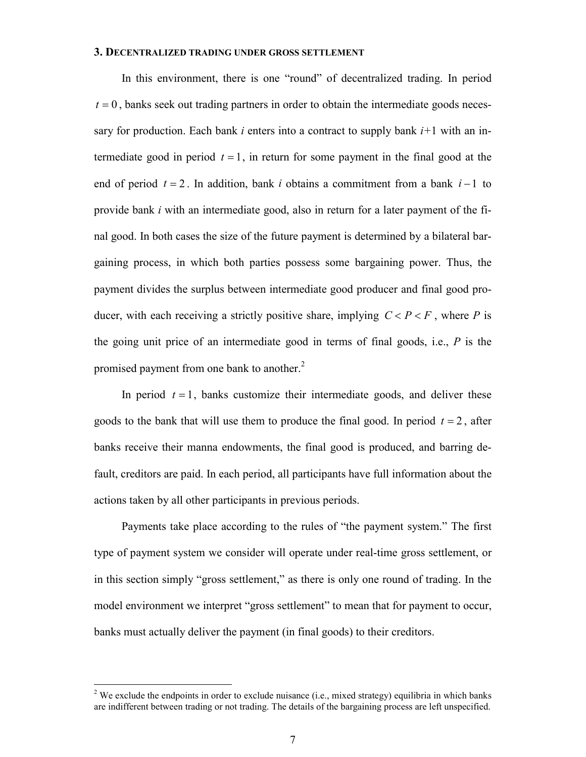#### **3. DECENTRALIZED TRADING UNDER GROSS SETTLEMENT**

In this environment, there is one "round" of decentralized trading. In period  $t = 0$ , banks seek out trading partners in order to obtain the intermediate goods necessary for production. Each bank *i* enters into a contract to supply bank *i+*1 with an intermediate good in period  $t = 1$ , in return for some payment in the final good at the end of period  $t = 2$ . In addition, bank *i* obtains a commitment from a bank  $i - 1$  to provide bank *i* with an intermediate good, also in return for a later payment of the final good. In both cases the size of the future payment is determined by a bilateral bargaining process, in which both parties possess some bargaining power. Thus, the payment divides the surplus between intermediate good producer and final good producer, with each receiving a strictly positive share, implying  $C < P < F$ , where *P* is the going unit price of an intermediate good in terms of final goods, i.e., *P* is the promised payment from one bank to another.<sup>2</sup>

In period  $t = 1$ , banks customize their intermediate goods, and deliver these goods to the bank that will use them to produce the final good. In period  $t = 2$ , after banks receive their manna endowments, the final good is produced, and barring default, creditors are paid. In each period, all participants have full information about the actions taken by all other participants in previous periods.

Payments take place according to the rules of "the payment system." The first type of payment system we consider will operate under real-time gross settlement, or in this section simply "gross settlement," as there is only one round of trading. In the model environment we interpret "gross settlement" to mean that for payment to occur, banks must actually deliver the payment (in final goods) to their creditors.

 $\overline{a}$ 

<sup>&</sup>lt;sup>2</sup> We exclude the endpoints in order to exclude nuisance (i.e., mixed strategy) equilibria in which banks are indifferent between trading or not trading. The details of the bargaining process are left unspecified.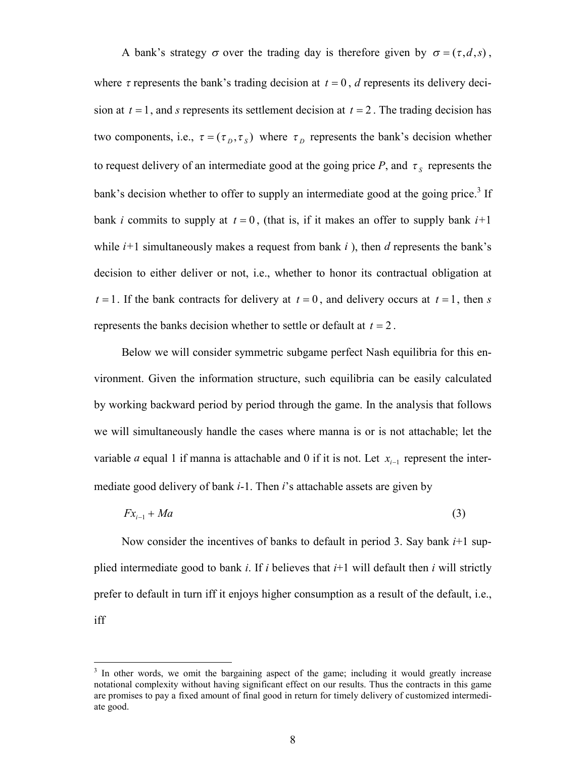A bank's strategy  $\sigma$  over the trading day is therefore given by  $\sigma = (\tau, d, s)$ , where  $\tau$  represents the bank's trading decision at  $t = 0$ , *d* represents its delivery decision at  $t = 1$ , and *s* represents its settlement decision at  $t = 2$ . The trading decision has two components, i.e.,  $\tau = (\tau_D, \tau_S)$  where  $\tau_D$  represents the bank's decision whether to request delivery of an intermediate good at the going price  $P$ , and  $\tau_s$  represents the bank's decision whether to offer to supply an intermediate good at the going price.<sup>3</sup> If bank *i* commits to supply at  $t = 0$ , (that is, if it makes an offer to supply bank  $i+1$ while *i+*1 simultaneously makes a request from bank *i* ), then *d* represents the bank's decision to either deliver or not, i.e., whether to honor its contractual obligation at  $t = 1$ . If the bank contracts for delivery at  $t = 0$ , and delivery occurs at  $t = 1$ , then *s* represents the banks decision whether to settle or default at  $t = 2$ .

Below we will consider symmetric subgame perfect Nash equilibria for this environment. Given the information structure, such equilibria can be easily calculated by working backward period by period through the game. In the analysis that follows we will simultaneously handle the cases where manna is or is not attachable; let the variable *a* equal 1 if manna is attachable and 0 if it is not. Let  $x_{i-1}$  represent the intermediate good delivery of bank *i*-1. Then *i*'s attachable assets are given by

$$
Fx_{i-1} + Ma \tag{3}
$$

Now consider the incentives of banks to default in period 3. Say bank *i*+1 supplied intermediate good to bank *i*. If *i* believes that  $i+1$  will default then *i* will strictly prefer to default in turn iff it enjoys higher consumption as a result of the default, i.e., iff

 $\overline{a}$ 

<sup>&</sup>lt;sup>3</sup> In other words, we omit the bargaining aspect of the game; including it would greatly increase notational complexity without having significant effect on our results. Thus the contracts in this game are promises to pay a fixed amount of final good in return for timely delivery of customized intermediate good.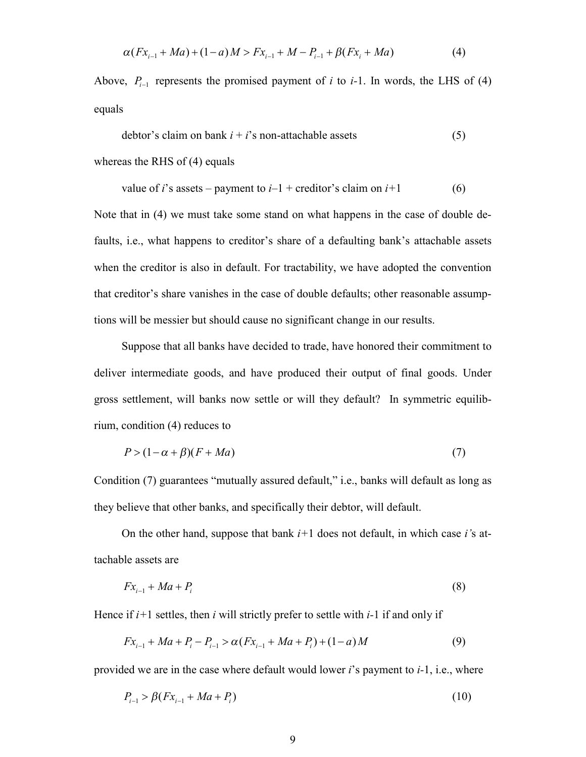$$
\alpha(Fx_{i-1} + Ma) + (1 - a)M > Fx_{i-1} + M - P_{i-1} + \beta(Fx_i + Ma)
$$
\n(4)

Above,  $P_{i-1}$  represents the promised payment of *i* to *i*-1. In words, the LHS of (4) equals

$$
dektor's claim on bank i + i's non-attached assets
$$
\n(5)

whereas the RHS of (4) equals

value of *i*'s assets – payment to 
$$
i-1
$$
 + creditor's claim on  $i+1$  (6)

Note that in (4) we must take some stand on what happens in the case of double defaults, i.e., what happens to creditor's share of a defaulting bank's attachable assets when the creditor is also in default. For tractability, we have adopted the convention that creditor's share vanishes in the case of double defaults; other reasonable assumptions will be messier but should cause no significant change in our results.

Suppose that all banks have decided to trade, have honored their commitment to deliver intermediate goods, and have produced their output of final goods. Under gross settlement, will banks now settle or will they default? In symmetric equilibrium, condition (4) reduces to

$$
P > (1 - \alpha + \beta)(F + Ma) \tag{7}
$$

Condition (7) guarantees "mutually assured default," i.e., banks will default as long as they believe that other banks, and specifically their debtor, will default.

On the other hand, suppose that bank *i+*1 does not default, in which case *i'*s attachable assets are

$$
Fx_{i-1} + Ma + P_i \tag{8}
$$

Hence if *i+*1 settles, then *i* will strictly prefer to settle with *i-*1 if and only if

$$
Fx_{i-1} + Ma + P_i - P_{i-1} > \alpha(Fx_{i-1} + Ma + P_i) + (1 - a)M
$$
\n(9)

provided we are in the case where default would lower *i*'s payment to *i-*1, i.e., where

$$
P_{i-1} > \beta(Fx_{i-1} + Ma + P_i)
$$
\n(10)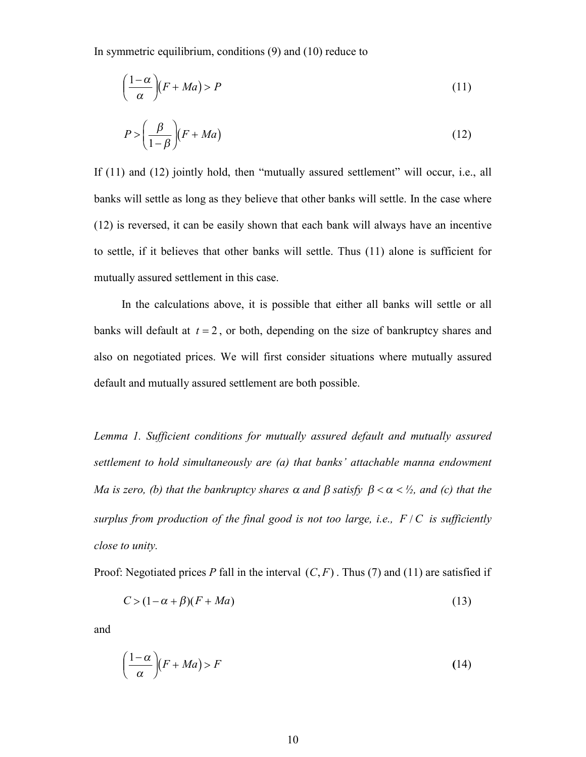In symmetric equilibrium, conditions (9) and (10) reduce to

$$
\left(\frac{1-\alpha}{\alpha}\right)(F+Ma) > P\tag{11}
$$

$$
P > \left(\frac{\beta}{1-\beta}\right) (F + Ma) \tag{12}
$$

If (11) and (12) jointly hold, then "mutually assured settlement" will occur, i.e., all banks will settle as long as they believe that other banks will settle. In the case where (12) is reversed, it can be easily shown that each bank will always have an incentive to settle, if it believes that other banks will settle. Thus (11) alone is sufficient for mutually assured settlement in this case.

In the calculations above, it is possible that either all banks will settle or all banks will default at  $t = 2$ , or both, depending on the size of bankruptcy shares and also on negotiated prices. We will first consider situations where mutually assured default and mutually assured settlement are both possible.

*Lemma 1. Sufficient conditions for mutually assured default and mutually assured settlement to hold simultaneously are (a) that banks' attachable manna endowment Ma is zero, (b) that the bankruptcy shares*  $\alpha$  *and*  $\beta$  *satisfy*  $\beta < \alpha < \frac{1}{2}$ *, and (c) that the surplus from production of the final good is not too large, i.e., F/C is sufficiently close to unity.*

Proof: Negotiated prices *P* fall in the interval  $(C, F)$ . Thus (7) and (11) are satisfied if

$$
C > (1 - \alpha + \beta)(F + Ma) \tag{13}
$$

and

$$
\left(\frac{1-\alpha}{\alpha}\right)(F+Ma) > F\tag{14}
$$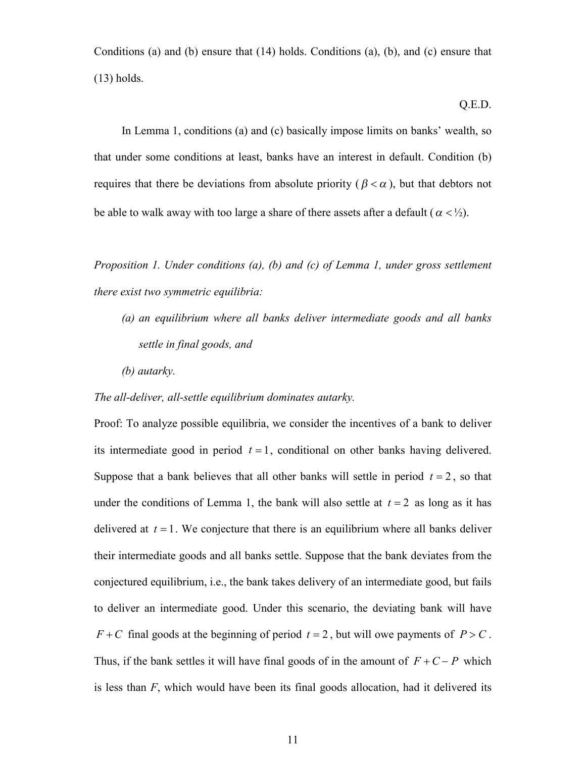Conditions (a) and (b) ensure that (14) holds. Conditions (a), (b), and (c) ensure that (13) holds.

#### Q.E.D.

In Lemma 1, conditions (a) and (c) basically impose limits on banks' wealth, so that under some conditions at least, banks have an interest in default. Condition (b) requires that there be deviations from absolute priority ( $\beta < \alpha$ ), but that debtors not be able to walk away with too large a share of there assets after a default ( $\alpha < \frac{1}{2}$ ).

*Proposition 1. Under conditions (a), (b) and (c) of Lemma 1, under gross settlement there exist two symmetric equilibria:*

- *(a) an equilibrium where all banks deliver intermediate goods and all banks settle in final goods, and*
- *(b) autarky.*

### *The all-deliver, all-settle equilibrium dominates autarky.*

Proof: To analyze possible equilibria, we consider the incentives of a bank to deliver its intermediate good in period  $t = 1$ , conditional on other banks having delivered. Suppose that a bank believes that all other banks will settle in period  $t = 2$ , so that under the conditions of Lemma 1, the bank will also settle at  $t = 2$  as long as it has delivered at  $t = 1$ . We conjecture that there is an equilibrium where all banks deliver their intermediate goods and all banks settle. Suppose that the bank deviates from the conjectured equilibrium, i.e., the bank takes delivery of an intermediate good, but fails to deliver an intermediate good. Under this scenario, the deviating bank will have  $F + C$  final goods at the beginning of period  $t = 2$ , but will owe payments of  $P > C$ . Thus, if the bank settles it will have final goods of in the amount of  $F + C - P$  which is less than *F*, which would have been its final goods allocation, had it delivered its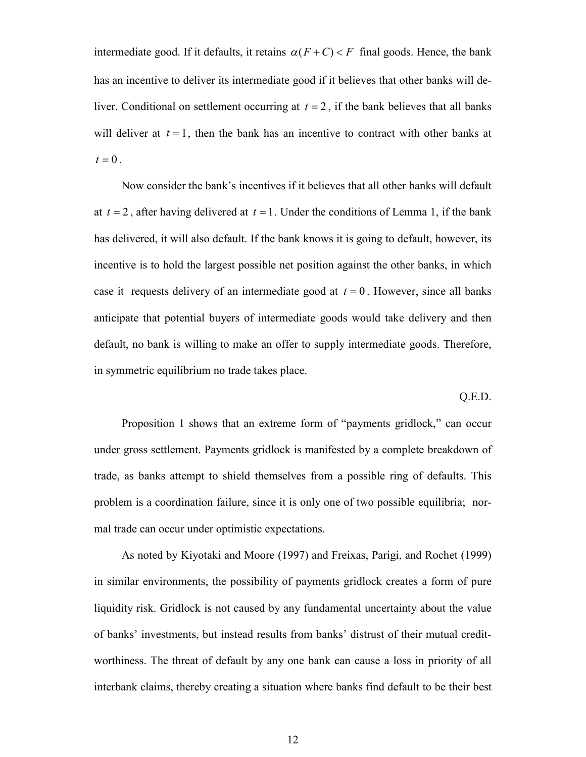intermediate good. If it defaults, it retains  $\alpha(F+C) < F$  final goods. Hence, the bank has an incentive to deliver its intermediate good if it believes that other banks will deliver. Conditional on settlement occurring at  $t = 2$ , if the bank believes that all banks will deliver at  $t = 1$ , then the bank has an incentive to contract with other banks at  $t = 0$ .

Now consider the bank's incentives if it believes that all other banks will default at  $t = 2$ , after having delivered at  $t = 1$ . Under the conditions of Lemma 1, if the bank has delivered, it will also default. If the bank knows it is going to default, however, its incentive is to hold the largest possible net position against the other banks, in which case it requests delivery of an intermediate good at  $t = 0$ . However, since all banks anticipate that potential buyers of intermediate goods would take delivery and then default, no bank is willing to make an offer to supply intermediate goods. Therefore, in symmetric equilibrium no trade takes place.

Q.E.D.

Proposition 1 shows that an extreme form of "payments gridlock," can occur under gross settlement. Payments gridlock is manifested by a complete breakdown of trade, as banks attempt to shield themselves from a possible ring of defaults. This problem is a coordination failure, since it is only one of two possible equilibria; normal trade can occur under optimistic expectations.

As noted by Kiyotaki and Moore (1997) and Freixas, Parigi, and Rochet (1999) in similar environments, the possibility of payments gridlock creates a form of pure liquidity risk. Gridlock is not caused by any fundamental uncertainty about the value of banks' investments, but instead results from banks' distrust of their mutual creditworthiness. The threat of default by any one bank can cause a loss in priority of all interbank claims, thereby creating a situation where banks find default to be their best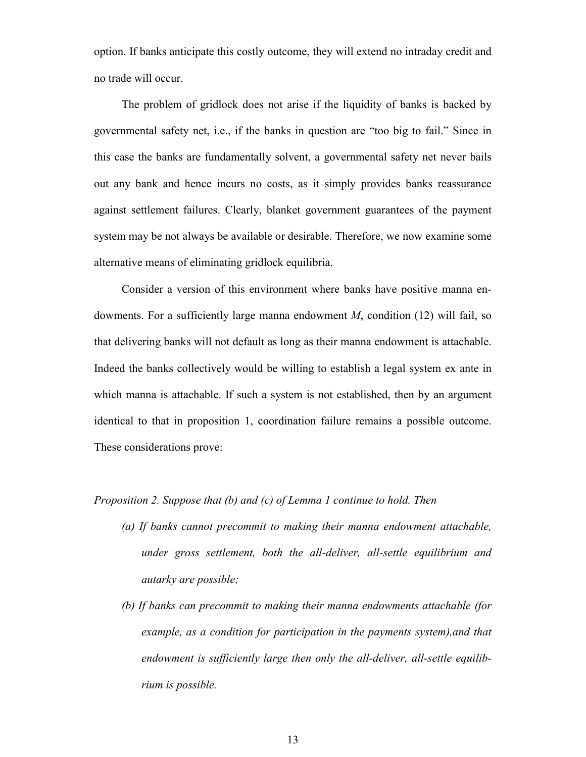option. If banks anticipate this costly outcome, they will extend no intraday credit and no trade will occur.

The problem of gridlock does not arise if the liquidity of banks is backed by governmental safety net, i.e., if the banks in question are "too big to fail." Since in this case the banks are fundamentally solvent, a governmental safety net never bails out any bank and hence incurs no costs, as it simply provides banks reassurance against settlement failures. Clearly, blanket government guarantees of the payment system may be not always be available or desirable. Therefore, we now examine some alternative means of eliminating gridlock equilibria.

Consider a version of this environment where banks have positive manna endowments. For a sufficiently large manna endowment *M*, condition (12) will fail, so that delivering banks will not default as long as their manna endowment is attachable. Indeed the banks collectively would be willing to establish a legal system ex ante in which manna is attachable. If such a system is not established, then by an argument identical to that in proposition 1, coordination failure remains a possible outcome. These considerations prove:

### *Proposition 2. Suppose that (b) and (c) of Lemma 1 continue to hold. Then*

- *(a) If banks cannot precommit to making their manna endowment attachable, under gross settlement, both the all-deliver, all-settle equilibrium and autarky are possible;*
- *(b) If banks can precommit to making their manna endowments attachable (for example, as a condition for participation in the payments system),and that endowment is sufficiently large then only the all-deliver, all-settle equilibrium is possible.*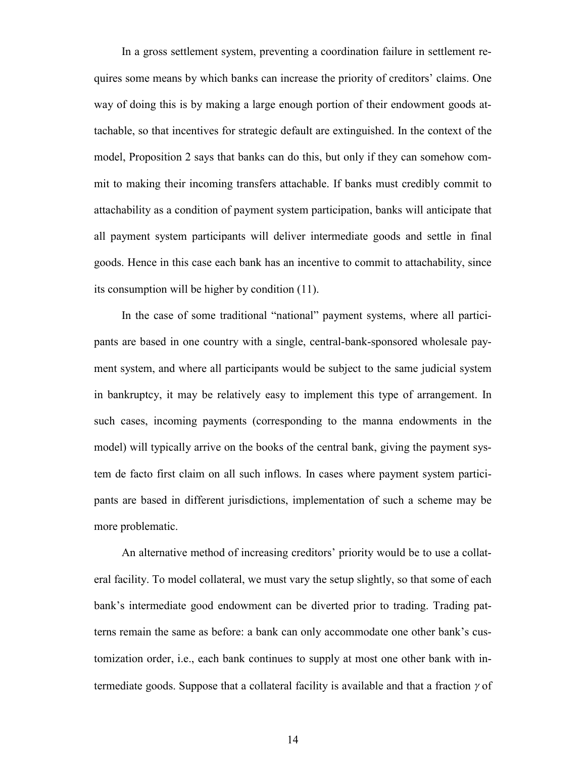In a gross settlement system, preventing a coordination failure in settlement requires some means by which banks can increase the priority of creditors' claims. One way of doing this is by making a large enough portion of their endowment goods attachable, so that incentives for strategic default are extinguished. In the context of the model, Proposition 2 says that banks can do this, but only if they can somehow commit to making their incoming transfers attachable. If banks must credibly commit to attachability as a condition of payment system participation, banks will anticipate that all payment system participants will deliver intermediate goods and settle in final goods. Hence in this case each bank has an incentive to commit to attachability, since its consumption will be higher by condition (11).

In the case of some traditional "national" payment systems, where all participants are based in one country with a single, central-bank-sponsored wholesale payment system, and where all participants would be subject to the same judicial system in bankruptcy, it may be relatively easy to implement this type of arrangement. In such cases, incoming payments (corresponding to the manna endowments in the model) will typically arrive on the books of the central bank, giving the payment system de facto first claim on all such inflows. In cases where payment system participants are based in different jurisdictions, implementation of such a scheme may be more problematic.

An alternative method of increasing creditors' priority would be to use a collateral facility. To model collateral, we must vary the setup slightly, so that some of each bank's intermediate good endowment can be diverted prior to trading. Trading patterns remain the same as before: a bank can only accommodate one other bank's customization order, i.e., each bank continues to supply at most one other bank with intermediate goods. Suppose that a collateral facility is available and that a fraction  $\gamma$  of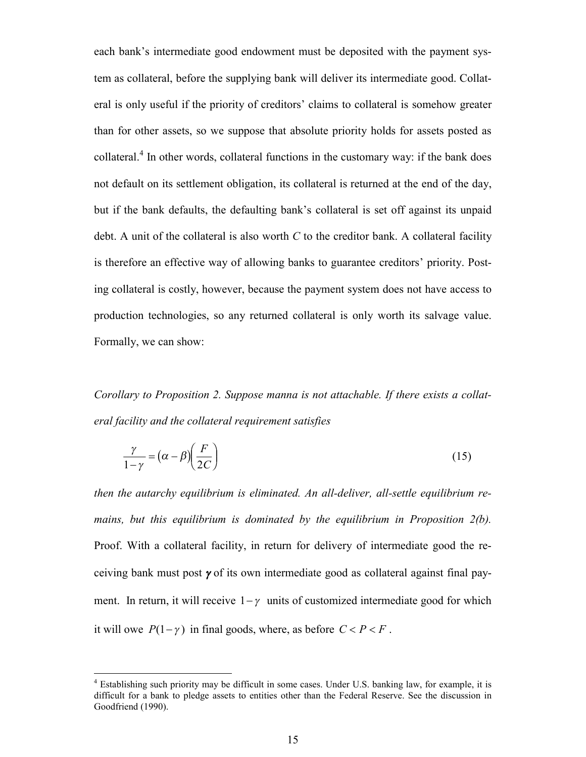each bank's intermediate good endowment must be deposited with the payment system as collateral, before the supplying bank will deliver its intermediate good. Collateral is only useful if the priority of creditors' claims to collateral is somehow greater than for other assets, so we suppose that absolute priority holds for assets posted as collateral.<sup>4</sup> In other words, collateral functions in the customary way: if the bank does not default on its settlement obligation, its collateral is returned at the end of the day, but if the bank defaults, the defaulting bank's collateral is set off against its unpaid debt. A unit of the collateral is also worth *C* to the creditor bank. A collateral facility is therefore an effective way of allowing banks to guarantee creditors' priority. Posting collateral is costly, however, because the payment system does not have access to production technologies, so any returned collateral is only worth its salvage value. Formally, we can show:

*Corollary to Proposition 2. Suppose manna is not attachable. If there exists a collateral facility and the collateral requirement satisfies*

$$
\frac{\gamma}{1-\gamma} = (\alpha - \beta) \left(\frac{F}{2C}\right)
$$
\n(15)

*then the autarchy equilibrium is eliminated. An all-deliver, all-settle equilibrium remains, but this equilibrium is dominated by the equilibrium in Proposition 2(b).* Proof. With a collateral facility, in return for delivery of intermediate good the receiving bank must post  $\gamma$  of its own intermediate good as collateral against final payment. In return, it will receive  $1 - \gamma$  units of customized intermediate good for which it will owe  $P(1-\gamma)$  in final goods, where, as before  $C < P < F$ .

 $\overline{a}$ 

<sup>&</sup>lt;sup>4</sup> Establishing such priority may be difficult in some cases. Under U.S. banking law, for example, it is difficult for a bank to pledge assets to entities other than the Federal Reserve. See the discussion in Goodfriend (1990).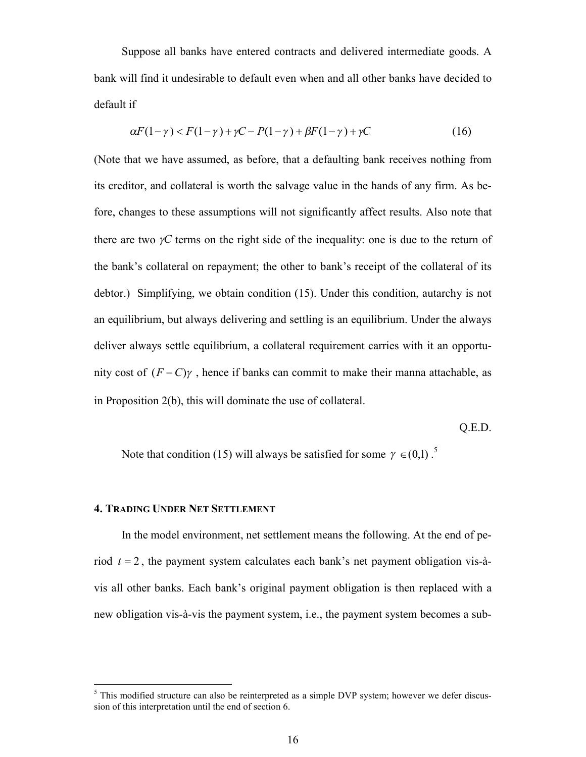Suppose all banks have entered contracts and delivered intermediate goods. A bank will find it undesirable to default even when and all other banks have decided to default if

$$
\alpha F(1-\gamma) < F(1-\gamma) + \gamma C - P(1-\gamma) + \beta F(1-\gamma) + \gamma C \tag{16}
$$

(Note that we have assumed, as before, that a defaulting bank receives nothing from its creditor, and collateral is worth the salvage value in the hands of any firm. As before, changes to these assumptions will not significantly affect results. Also note that there are two  $\gamma C$  terms on the right side of the inequality: one is due to the return of the bank's collateral on repayment; the other to bank's receipt of the collateral of its debtor.) Simplifying, we obtain condition (15). Under this condition, autarchy is not an equilibrium, but always delivering and settling is an equilibrium. Under the always deliver always settle equilibrium, a collateral requirement carries with it an opportunity cost of  $(F - C)\gamma$ , hence if banks can commit to make their manna attachable, as in Proposition 2(b), this will dominate the use of collateral.

Q.E.D.

Note that condition (15) will always be satisfied for some  $\gamma \in (0,1)$ .<sup>5</sup>

## **4. TRADING UNDER NET SETTLEMENT**

 $\overline{a}$ 

In the model environment, net settlement means the following. At the end of period  $t = 2$ , the payment system calculates each bank's net payment obligation vis-àvis all other banks. Each bank's original payment obligation is then replaced with a new obligation vis-à-vis the payment system, i.e., the payment system becomes a sub-

 $<sup>5</sup>$  This modified structure can also be reinterpreted as a simple DVP system; however we defer discus-</sup> sion of this interpretation until the end of section 6.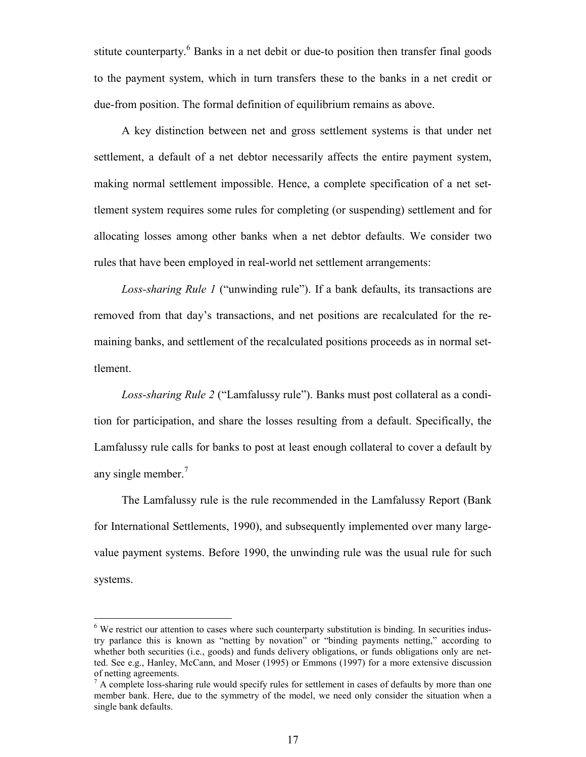stitute counterparty.<sup>6</sup> Banks in a net debit or due-to position then transfer final goods to the payment system, which in turn transfers these to the banks in a net credit or due-from position. The formal definition of equilibrium remains as above.

A key distinction between net and gross settlement systems is that under net settlement, a default of a net debtor necessarily affects the entire payment system, making normal settlement impossible. Hence, a complete specification of a net settlement system requires some rules for completing (or suspending) settlement and for allocating losses among other banks when a net debtor defaults. We consider two rules that have been employed in real-world net settlement arrangements:

*Loss-sharing Rule 1* ("unwinding rule"). If a bank defaults, its transactions are removed from that day's transactions, and net positions are recalculated for the remaining banks, and settlement of the recalculated positions proceeds as in normal settlement.

*Loss-sharing Rule 2* ("Lamfalussy rule"). Banks must post collateral as a condition for participation, and share the losses resulting from a default. Specifically, the Lamfalussy rule calls for banks to post at least enough collateral to cover a default by any single member.<sup>7</sup>

The Lamfalussy rule is the rule recommended in the Lamfalussy Report (Bank for International Settlements, 1990), and subsequently implemented over many largevalue payment systems. Before 1990, the unwinding rule was the usual rule for such systems.

 $\overline{a}$ 

<sup>&</sup>lt;sup>6</sup> We restrict our attention to cases where such counterparty substitution is binding. In securities industry parlance this is known as "netting by novation" or "binding payments netting," according to whether both securities (i.e., goods) and funds delivery obligations, or funds obligations only are netted. See e.g., Hanley, McCann, and Moser (1995) or Emmons (1997) for a more extensive discussion of netting agreements.

<sup>&</sup>lt;sup>7</sup> A complete loss-sharing rule would specify rules for settlement in cases of defaults by more than one member bank. Here, due to the symmetry of the model, we need only consider the situation when a single bank defaults.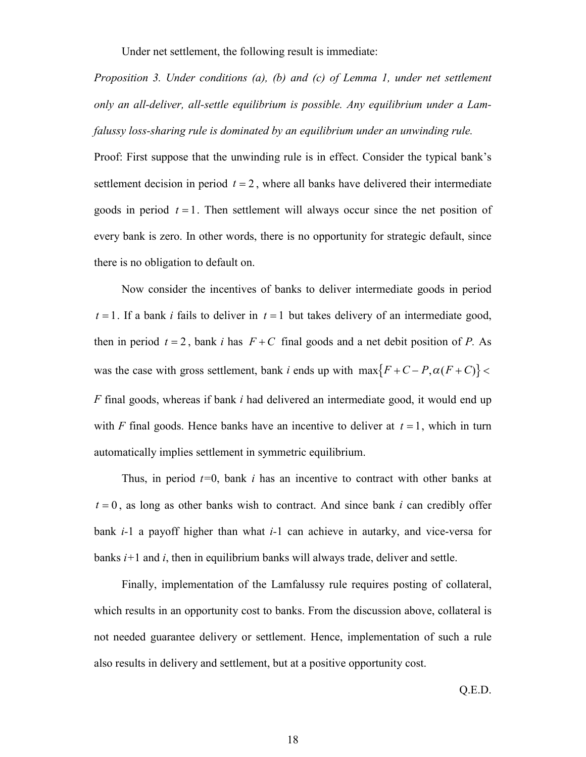Under net settlement, the following result is immediate:

*Proposition 3. Under conditions (a), (b) and (c) of Lemma 1, under net settlement only an all-deliver, all-settle equilibrium is possible. Any equilibrium under a Lamfalussy loss-sharing rule is dominated by an equilibrium under an unwinding rule.*

Proof: First suppose that the unwinding rule is in effect. Consider the typical bank's settlement decision in period  $t = 2$ , where all banks have delivered their intermediate goods in period  $t = 1$ . Then settlement will always occur since the net position of every bank is zero. In other words, there is no opportunity for strategic default, since there is no obligation to default on.

Now consider the incentives of banks to deliver intermediate goods in period  $t = 1$ . If a bank *i* fails to deliver in  $t = 1$  but takes delivery of an intermediate good, then in period  $t = 2$ , bank *i* has  $F + C$  final goods and a net debit position of *P*. As was the case with gross settlement, bank *i* ends up with  $max{F + C - P, \alpha(F + C)}$  < *F* final goods, whereas if bank *i* had delivered an intermediate good, it would end up with *F* final goods. Hence banks have an incentive to deliver at  $t = 1$ , which in turn automatically implies settlement in symmetric equilibrium.

Thus, in period *t=*0, bank *i* has an incentive to contract with other banks at  $t = 0$ , as long as other banks wish to contract. And since bank *i* can credibly offer bank *i-*1 a payoff higher than what *i-*1 can achieve in autarky, and vice-versa for banks *i+*1 and *i*, then in equilibrium banks will always trade, deliver and settle.

Finally, implementation of the Lamfalussy rule requires posting of collateral, which results in an opportunity cost to banks. From the discussion above, collateral is not needed guarantee delivery or settlement. Hence, implementation of such a rule also results in delivery and settlement, but at a positive opportunity cost.

Q.E.D.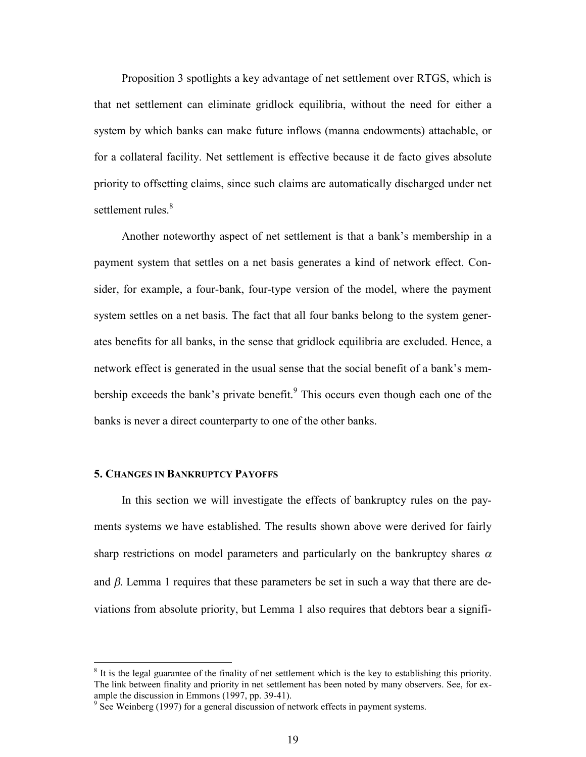Proposition 3 spotlights a key advantage of net settlement over RTGS, which is that net settlement can eliminate gridlock equilibria, without the need for either a system by which banks can make future inflows (manna endowments) attachable, or for a collateral facility. Net settlement is effective because it de facto gives absolute priority to offsetting claims, since such claims are automatically discharged under net settlement rules.<sup>8</sup>

Another noteworthy aspect of net settlement is that a bank's membership in a payment system that settles on a net basis generates a kind of network effect. Consider, for example, a four-bank, four-type version of the model, where the payment system settles on a net basis. The fact that all four banks belong to the system generates benefits for all banks, in the sense that gridlock equilibria are excluded. Hence, a network effect is generated in the usual sense that the social benefit of a bank's membership exceeds the bank's private benefit.<sup>9</sup> This occurs even though each one of the banks is never a direct counterparty to one of the other banks.

### **5. CHANGES IN BANKRUPTCY PAYOFFS**

 $\overline{a}$ 

In this section we will investigate the effects of bankruptcy rules on the payments systems we have established. The results shown above were derived for fairly sharp restrictions on model parameters and particularly on the bankruptcy shares  $\alpha$ and  $\beta$ . Lemma 1 requires that these parameters be set in such a way that there are deviations from absolute priority, but Lemma 1 also requires that debtors bear a signifi-

 $8$  It is the legal guarantee of the finality of net settlement which is the key to establishing this priority. The link between finality and priority in net settlement has been noted by many observers. See, for example the discussion in Emmons (1997, pp. 39-41).

<sup>&</sup>lt;sup>9</sup> See Weinberg (1997) for a general discussion of network effects in payment systems.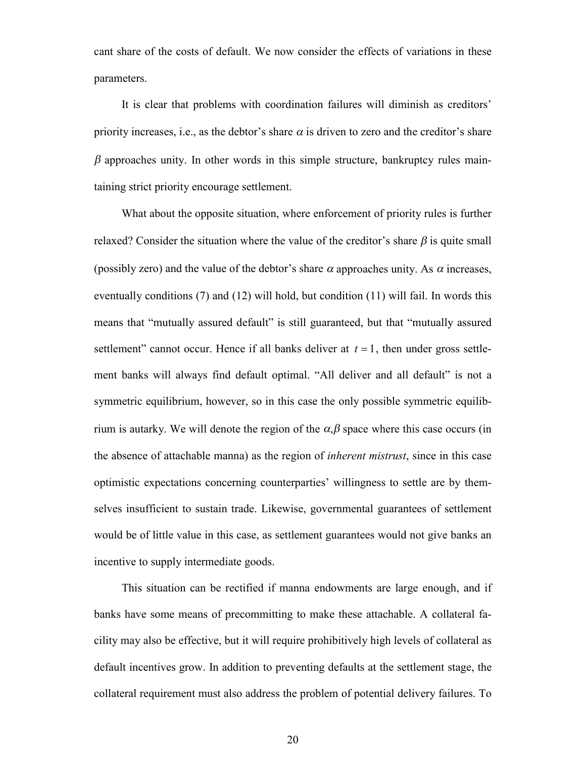cant share of the costs of default. We now consider the effects of variations in these parameters.

It is clear that problems with coordination failures will diminish as creditors' priority increases, i.e., as the debtor's share  $\alpha$  is driven to zero and the creditor's share  $\beta$  approaches unity. In other words in this simple structure, bankruptcy rules maintaining strict priority encourage settlement.

What about the opposite situation, where enforcement of priority rules is further relaxed? Consider the situation where the value of the creditor's share  $\beta$  is quite small (possibly zero) and the value of the debtor's share  $\alpha$  approaches unity. As  $\alpha$  increases, eventually conditions (7) and (12) will hold, but condition (11) will fail. In words this means that "mutually assured default" is still guaranteed, but that "mutually assured settlement" cannot occur. Hence if all banks deliver at  $t = 1$ , then under gross settlement banks will always find default optimal. "All deliver and all default" is not a symmetric equilibrium, however, so in this case the only possible symmetric equilibrium is autarky. We will denote the region of the  $\alpha, \beta$  space where this case occurs (in the absence of attachable manna) as the region of *inherent mistrust*, since in this case optimistic expectations concerning counterparties' willingness to settle are by themselves insufficient to sustain trade. Likewise, governmental guarantees of settlement would be of little value in this case, as settlement guarantees would not give banks an incentive to supply intermediate goods.

This situation can be rectified if manna endowments are large enough, and if banks have some means of precommitting to make these attachable. A collateral facility may also be effective, but it will require prohibitively high levels of collateral as default incentives grow. In addition to preventing defaults at the settlement stage, the collateral requirement must also address the problem of potential delivery failures. To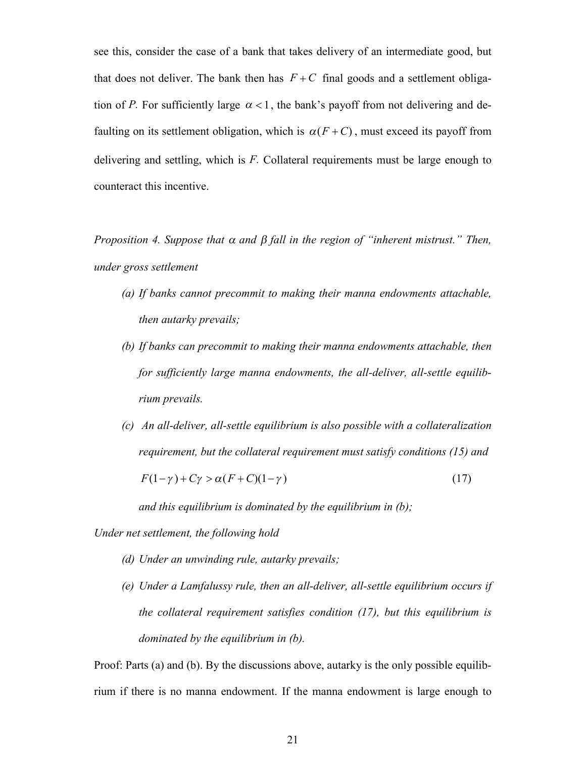see this, consider the case of a bank that takes delivery of an intermediate good, but that does not deliver. The bank then has  $F + C$  final goods and a settlement obligation of *P*. For sufficiently large  $\alpha < 1$ , the bank's payoff from not delivering and defaulting on its settlement obligation, which is  $\alpha(F+C)$ , must exceed its payoff from delivering and settling, which is *F.* Collateral requirements must be large enough to counteract this incentive.

*Proposition 4. Suppose that*  $\alpha$  *and*  $\beta$  *fall in the region of "inherent mistrust." Then, under gross settlement*

- *(a) If banks cannot precommit to making their manna endowments attachable, then autarky prevails;*
- *(b) If banks can precommit to making their manna endowments attachable, then for sufficiently large manna endowments, the all-deliver, all-settle equilibrium prevails.*
- *(c) An all-deliver, all-settle equilibrium is also possible with a collateralization requirement, but the collateral requirement must satisfy conditions (15) and*

$$
F(1-\gamma) + C\gamma > \alpha (F+C)(1-\gamma)
$$
\n(17)

*and this equilibrium is dominated by the equilibrium in (b);*

*Under net settlement, the following hold*

- *(d) Under an unwinding rule, autarky prevails;*
- *(e) Under a Lamfalussy rule, then an all-deliver, all-settle equilibrium occurs if the collateral requirement satisfies condition (17), but this equilibrium is dominated by the equilibrium in (b).*

Proof: Parts (a) and (b). By the discussions above, autarky is the only possible equilibrium if there is no manna endowment. If the manna endowment is large enough to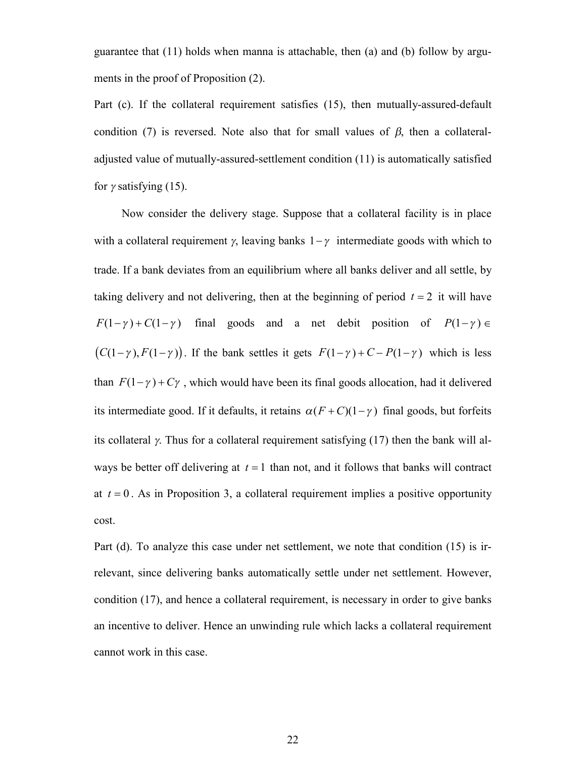guarantee that  $(11)$  holds when manna is attachable, then  $(a)$  and  $(b)$  follow by arguments in the proof of Proposition (2).

Part (c). If the collateral requirement satisfies (15), then mutually-assured-default condition (7) is reversed. Note also that for small values of  $\beta$ , then a collateraladjusted value of mutually-assured-settlement condition (11) is automatically satisfied for  $\gamma$  satisfying (15).

Now consider the delivery stage. Suppose that a collateral facility is in place with a collateral requirement  $\gamma$ , leaving banks  $1-\gamma$  intermediate goods with which to trade. If a bank deviates from an equilibrium where all banks deliver and all settle, by taking delivery and not delivering, then at the beginning of period  $t = 2$  it will have  $F(1-\gamma) + C(1-\gamma)$  final goods and a net debit position of  $P(1-\gamma) \in$  $(C(1-\gamma), F(1-\gamma))$ . If the bank settles it gets  $F(1-\gamma) + C - P(1-\gamma)$  which is less than  $F(1-\gamma) + C\gamma$ , which would have been its final goods allocation, had it delivered its intermediate good. If it defaults, it retains  $\alpha(F+C)(1-\gamma)$  final goods, but forfeits its collateral  $\gamma$ . Thus for a collateral requirement satisfying (17) then the bank will always be better off delivering at  $t = 1$  than not, and it follows that banks will contract at  $t = 0$ . As in Proposition 3, a collateral requirement implies a positive opportunity cost.

Part (d). To analyze this case under net settlement, we note that condition (15) is irrelevant, since delivering banks automatically settle under net settlement. However, condition (17), and hence a collateral requirement, is necessary in order to give banks an incentive to deliver. Hence an unwinding rule which lacks a collateral requirement cannot work in this case.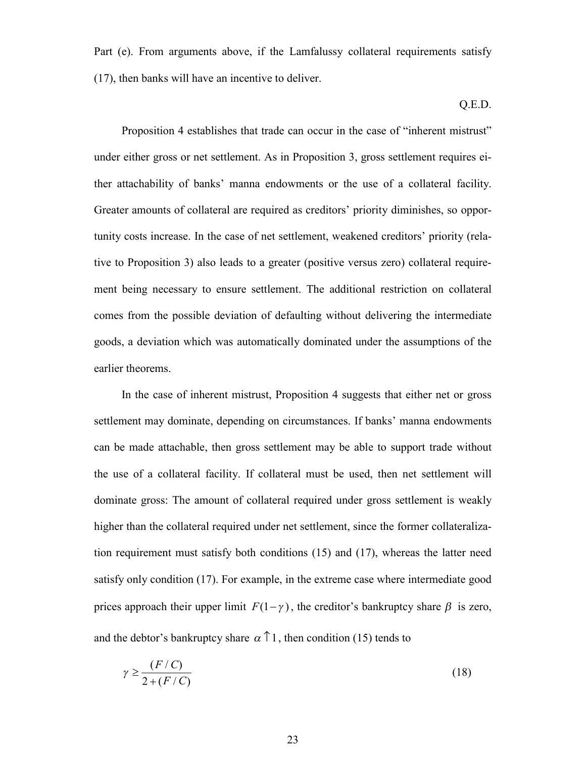Part (e). From arguments above, if the Lamfalussy collateral requirements satisfy (17), then banks will have an incentive to deliver.

Q.E.D.

Proposition 4 establishes that trade can occur in the case of "inherent mistrust" under either gross or net settlement. As in Proposition 3, gross settlement requires either attachability of banks' manna endowments or the use of a collateral facility. Greater amounts of collateral are required as creditors' priority diminishes, so opportunity costs increase. In the case of net settlement, weakened creditors' priority (relative to Proposition 3) also leads to a greater (positive versus zero) collateral requirement being necessary to ensure settlement. The additional restriction on collateral comes from the possible deviation of defaulting without delivering the intermediate goods, a deviation which was automatically dominated under the assumptions of the earlier theorems.

In the case of inherent mistrust, Proposition 4 suggests that either net or gross settlement may dominate, depending on circumstances. If banks' manna endowments can be made attachable, then gross settlement may be able to support trade without the use of a collateral facility. If collateral must be used, then net settlement will dominate gross: The amount of collateral required under gross settlement is weakly higher than the collateral required under net settlement, since the former collateralization requirement must satisfy both conditions (15) and (17), whereas the latter need satisfy only condition (17). For example, in the extreme case where intermediate good prices approach their upper limit  $F(1-\gamma)$ , the creditor's bankruptcy share  $\beta$  is zero, and the debtor's bankruptcy share  $\alpha \uparrow 1$ , then condition (15) tends to

$$
\gamma \ge \frac{(F/C)}{2 + (F/C)}\tag{18}
$$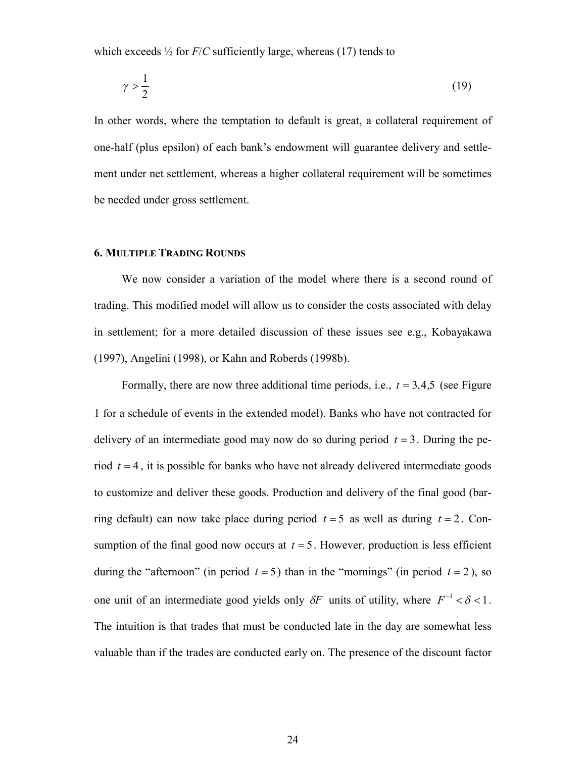which exceeds  $\frac{1}{2}$  for  $F/C$  sufficiently large, whereas (17) tends to

$$
\gamma > \frac{1}{2} \tag{19}
$$

In other words, where the temptation to default is great, a collateral requirement of one-half (plus epsilon) of each bank's endowment will guarantee delivery and settlement under net settlement, whereas a higher collateral requirement will be sometimes be needed under gross settlement.

# **6. MULTIPLE TRADING ROUNDS**

We now consider a variation of the model where there is a second round of trading. This modified model will allow us to consider the costs associated with delay in settlement; for a more detailed discussion of these issues see e.g., Kobayakawa (1997), Angelini (1998), or Kahn and Roberds (1998b).

Formally, there are now three additional time periods, i.e.,  $t = 3,4,5$  (see Figure 1 for a schedule of events in the extended model). Banks who have not contracted for delivery of an intermediate good may now do so during period  $t = 3$ . During the period  $t = 4$ , it is possible for banks who have not already delivered intermediate goods to customize and deliver these goods. Production and delivery of the final good (barring default) can now take place during period  $t = 5$  as well as during  $t = 2$ . Consumption of the final good now occurs at  $t = 5$ . However, production is less efficient during the "afternoon" (in period  $t = 5$ ) than in the "mornings" (in period  $t = 2$ ), so one unit of an intermediate good yields only  $\delta F$  units of utility, where  $F^{-1} < \delta < 1$ . The intuition is that trades that must be conducted late in the day are somewhat less valuable than if the trades are conducted early on. The presence of the discount factor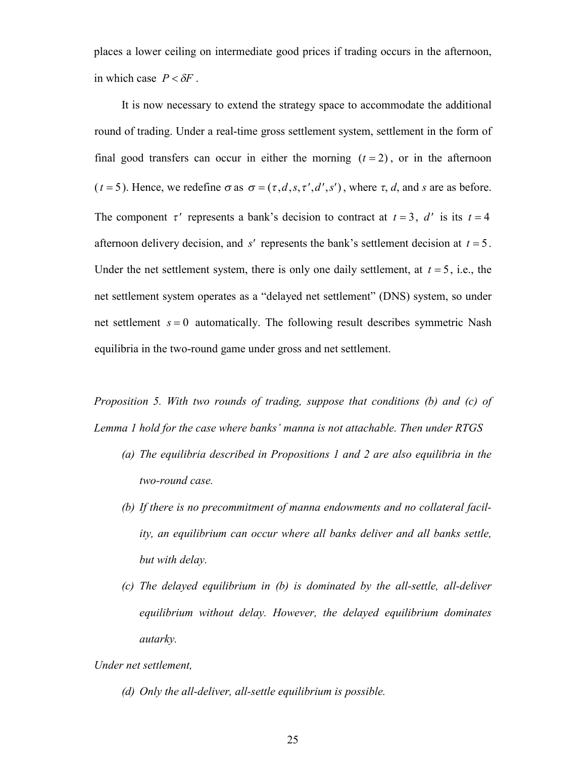places a lower ceiling on intermediate good prices if trading occurs in the afternoon, in which case  $P < \delta F$ .

It is now necessary to extend the strategy space to accommodate the additional round of trading. Under a real-time gross settlement system, settlement in the form of final good transfers can occur in either the morning  $(t = 2)$ , or in the afternoon  $(t = 5)$ . Hence, we redefine  $\sigma$  as  $\sigma = (\tau, d, s, \tau', d', s')$ , where  $\tau, d$ , and *s* are as before. The component  $\tau'$  represents a bank's decision to contract at  $t = 3$ ,  $d'$  is its  $t = 4$ afternoon delivery decision, and  $s'$  represents the bank's settlement decision at  $t = 5$ . Under the net settlement system, there is only one daily settlement, at  $t = 5$ , i.e., the net settlement system operates as a "delayed net settlement" (DNS) system, so under net settlement  $s = 0$  automatically. The following result describes symmetric Nash equilibria in the two-round game under gross and net settlement.

*Proposition 5. With two rounds of trading, suppose that conditions (b) and (c) of Lemma 1 hold for the case where banks' manna is not attachable. Then under RTGS*

- *(a) The equilibria described in Propositions 1 and 2 are also equilibria in the two-round case.*
- *(b) If there is no precommitment of manna endowments and no collateral facility, an equilibrium can occur where all banks deliver and all banks settle, but with delay.*
- *(c) The delayed equilibrium in (b) is dominated by the all-settle, all-deliver equilibrium without delay. However, the delayed equilibrium dominates autarky.*

*Under net settlement,*

*(d) Only the all-deliver, all-settle equilibrium is possible.*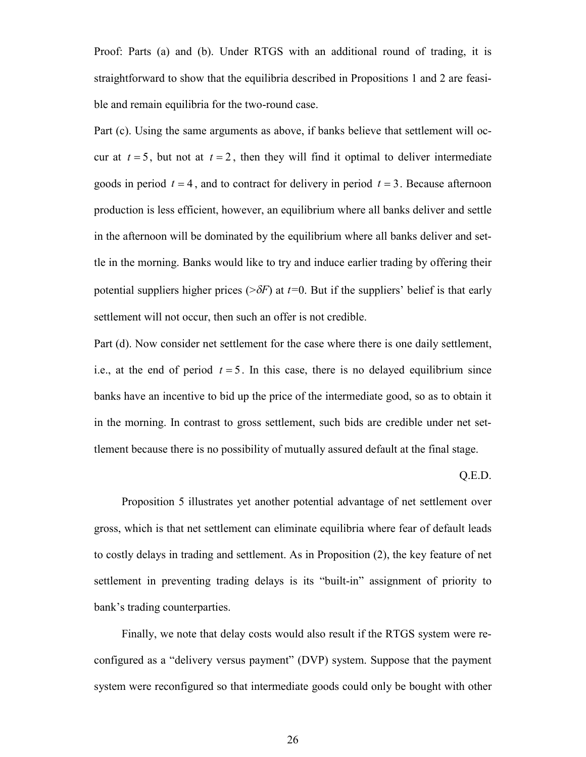Proof: Parts (a) and (b). Under RTGS with an additional round of trading, it is straightforward to show that the equilibria described in Propositions 1 and 2 are feasible and remain equilibria for the two-round case.

Part (c). Using the same arguments as above, if banks believe that settlement will occur at  $t = 5$ , but not at  $t = 2$ , then they will find it optimal to deliver intermediate goods in period  $t = 4$ , and to contract for delivery in period  $t = 3$ . Because afternoon production is less efficient, however, an equilibrium where all banks deliver and settle in the afternoon will be dominated by the equilibrium where all banks deliver and settle in the morning. Banks would like to try and induce earlier trading by offering their potential suppliers higher prices ( $\geq \delta F$ ) at *t*=0. But if the suppliers' belief is that early settlement will not occur, then such an offer is not credible.

Part (d). Now consider net settlement for the case where there is one daily settlement, i.e., at the end of period  $t = 5$ . In this case, there is no delayed equilibrium since banks have an incentive to bid up the price of the intermediate good, so as to obtain it in the morning. In contrast to gross settlement, such bids are credible under net settlement because there is no possibility of mutually assured default at the final stage.

Q.E.D.

Proposition 5 illustrates yet another potential advantage of net settlement over gross, which is that net settlement can eliminate equilibria where fear of default leads to costly delays in trading and settlement. As in Proposition (2), the key feature of net settlement in preventing trading delays is its "built-in" assignment of priority to bank's trading counterparties.

Finally, we note that delay costs would also result if the RTGS system were reconfigured as a "delivery versus payment" (DVP) system. Suppose that the payment system were reconfigured so that intermediate goods could only be bought with other

26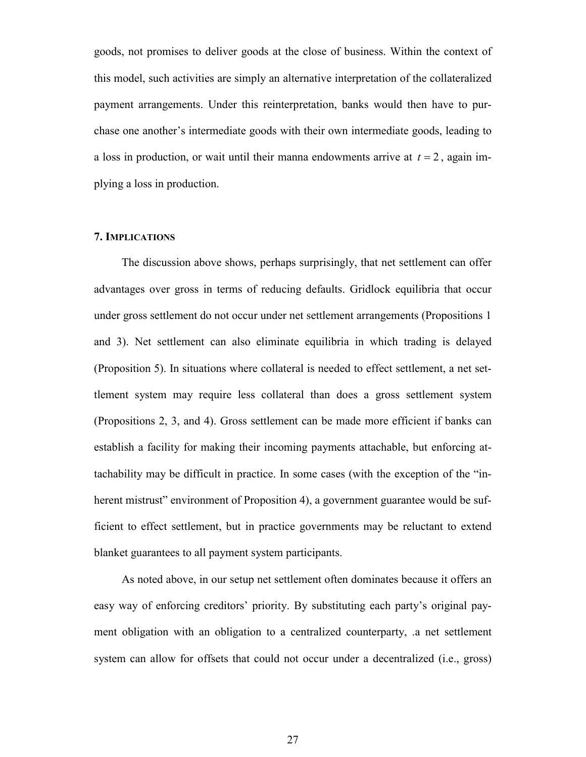goods, not promises to deliver goods at the close of business. Within the context of this model, such activities are simply an alternative interpretation of the collateralized payment arrangements. Under this reinterpretation, banks would then have to purchase one another's intermediate goods with their own intermediate goods, leading to a loss in production, or wait until their manna endowments arrive at  $t = 2$ , again implying a loss in production.

## **7. IMPLICATIONS**

The discussion above shows, perhaps surprisingly, that net settlement can offer advantages over gross in terms of reducing defaults. Gridlock equilibria that occur under gross settlement do not occur under net settlement arrangements (Propositions 1 and 3). Net settlement can also eliminate equilibria in which trading is delayed (Proposition 5). In situations where collateral is needed to effect settlement, a net settlement system may require less collateral than does a gross settlement system (Propositions 2, 3, and 4). Gross settlement can be made more efficient if banks can establish a facility for making their incoming payments attachable, but enforcing attachability may be difficult in practice. In some cases (with the exception of the "inherent mistrust" environment of Proposition 4), a government guarantee would be sufficient to effect settlement, but in practice governments may be reluctant to extend blanket guarantees to all payment system participants.

As noted above, in our setup net settlement often dominates because it offers an easy way of enforcing creditors' priority. By substituting each party's original payment obligation with an obligation to a centralized counterparty, .a net settlement system can allow for offsets that could not occur under a decentralized (i.e., gross)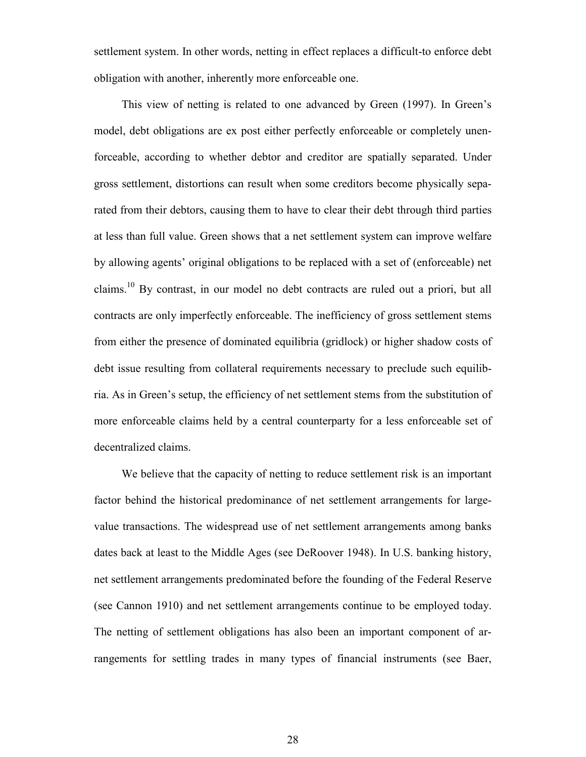settlement system. In other words, netting in effect replaces a difficult-to enforce debt obligation with another, inherently more enforceable one.

This view of netting is related to one advanced by Green (1997). In Green's model, debt obligations are ex post either perfectly enforceable or completely unenforceable, according to whether debtor and creditor are spatially separated. Under gross settlement, distortions can result when some creditors become physically separated from their debtors, causing them to have to clear their debt through third parties at less than full value. Green shows that a net settlement system can improve welfare by allowing agents' original obligations to be replaced with a set of (enforceable) net claims.10 By contrast, in our model no debt contracts are ruled out a priori, but all contracts are only imperfectly enforceable. The inefficiency of gross settlement stems from either the presence of dominated equilibria (gridlock) or higher shadow costs of debt issue resulting from collateral requirements necessary to preclude such equilibria. As in Green's setup, the efficiency of net settlement stems from the substitution of more enforceable claims held by a central counterparty for a less enforceable set of decentralized claims.

We believe that the capacity of netting to reduce settlement risk is an important factor behind the historical predominance of net settlement arrangements for largevalue transactions. The widespread use of net settlement arrangements among banks dates back at least to the Middle Ages (see DeRoover 1948). In U.S. banking history, net settlement arrangements predominated before the founding of the Federal Reserve (see Cannon 1910) and net settlement arrangements continue to be employed today. The netting of settlement obligations has also been an important component of arrangements for settling trades in many types of financial instruments (see Baer,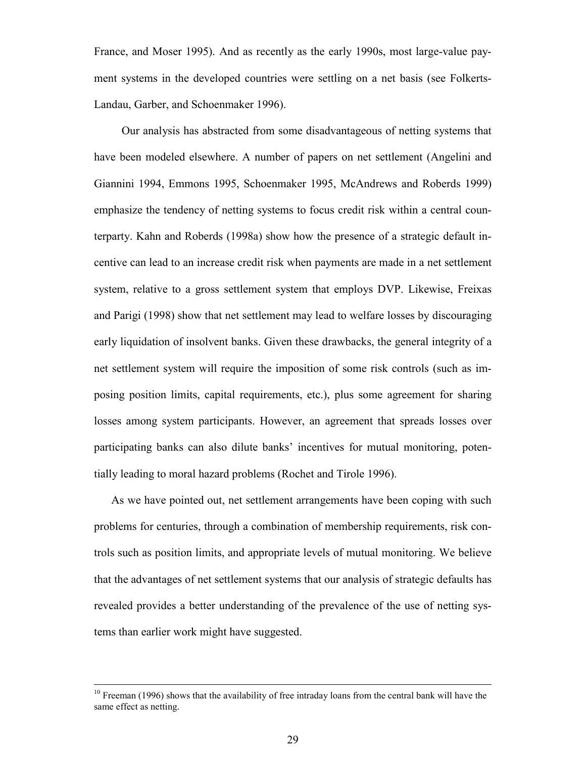France, and Moser 1995). And as recently as the early 1990s, most large-value payment systems in the developed countries were settling on a net basis (see Folkerts-Landau, Garber, and Schoenmaker 1996).

Our analysis has abstracted from some disadvantageous of netting systems that have been modeled elsewhere. A number of papers on net settlement (Angelini and Giannini 1994, Emmons 1995, Schoenmaker 1995, McAndrews and Roberds 1999) emphasize the tendency of netting systems to focus credit risk within a central counterparty. Kahn and Roberds (1998a) show how the presence of a strategic default incentive can lead to an increase credit risk when payments are made in a net settlement system, relative to a gross settlement system that employs DVP. Likewise, Freixas and Parigi (1998) show that net settlement may lead to welfare losses by discouraging early liquidation of insolvent banks. Given these drawbacks, the general integrity of a net settlement system will require the imposition of some risk controls (such as imposing position limits, capital requirements, etc.), plus some agreement for sharing losses among system participants. However, an agreement that spreads losses over participating banks can also dilute banks' incentives for mutual monitoring, potentially leading to moral hazard problems (Rochet and Tirole 1996).

As we have pointed out, net settlement arrangements have been coping with such problems for centuries, through a combination of membership requirements, risk controls such as position limits, and appropriate levels of mutual monitoring. We believe that the advantages of net settlement systems that our analysis of strategic defaults has revealed provides a better understanding of the prevalence of the use of netting systems than earlier work might have suggested.

<sup>&</sup>lt;sup>10</sup> Freeman (1996) shows that the availability of free intraday loans from the central bank will have the same effect as netting.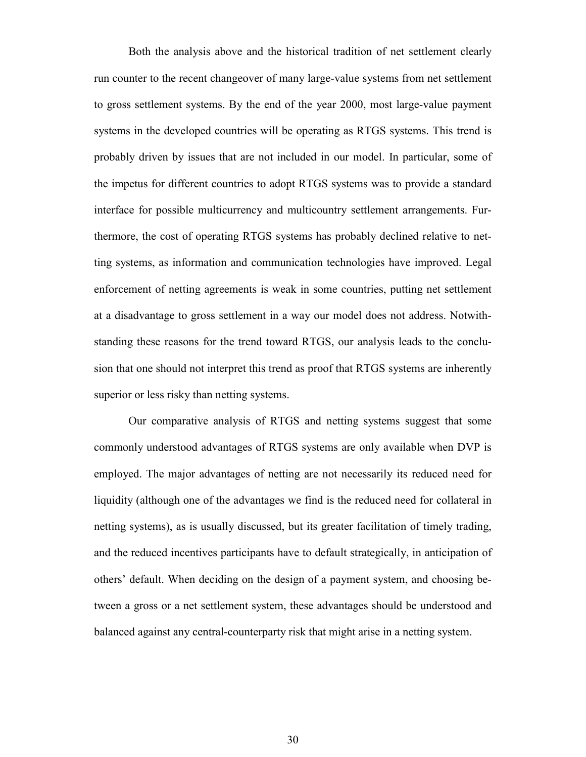Both the analysis above and the historical tradition of net settlement clearly run counter to the recent changeover of many large-value systems from net settlement to gross settlement systems. By the end of the year 2000, most large-value payment systems in the developed countries will be operating as RTGS systems. This trend is probably driven by issues that are not included in our model. In particular, some of the impetus for different countries to adopt RTGS systems was to provide a standard interface for possible multicurrency and multicountry settlement arrangements. Furthermore, the cost of operating RTGS systems has probably declined relative to netting systems, as information and communication technologies have improved. Legal enforcement of netting agreements is weak in some countries, putting net settlement at a disadvantage to gross settlement in a way our model does not address. Notwithstanding these reasons for the trend toward RTGS, our analysis leads to the conclusion that one should not interpret this trend as proof that RTGS systems are inherently superior or less risky than netting systems.

Our comparative analysis of RTGS and netting systems suggest that some commonly understood advantages of RTGS systems are only available when DVP is employed. The major advantages of netting are not necessarily its reduced need for liquidity (although one of the advantages we find is the reduced need for collateral in netting systems), as is usually discussed, but its greater facilitation of timely trading, and the reduced incentives participants have to default strategically, in anticipation of others' default. When deciding on the design of a payment system, and choosing between a gross or a net settlement system, these advantages should be understood and balanced against any central-counterparty risk that might arise in a netting system.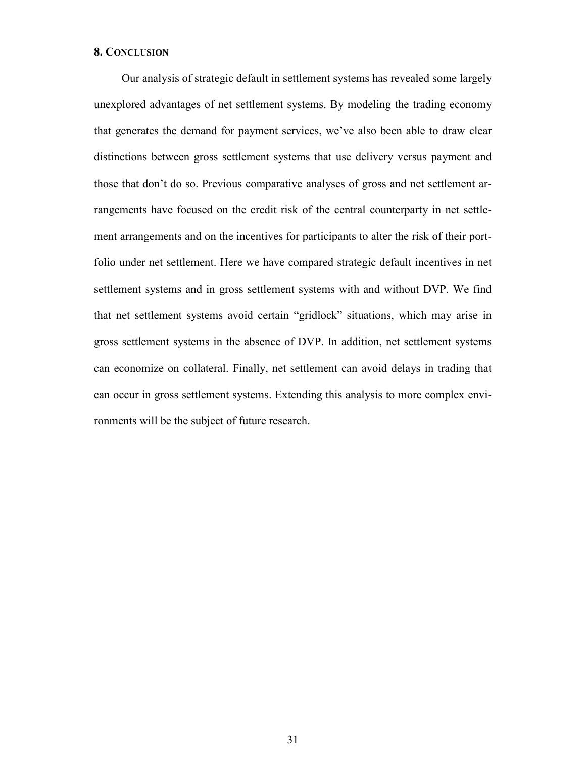### **8. CONCLUSION**

Our analysis of strategic default in settlement systems has revealed some largely unexplored advantages of net settlement systems. By modeling the trading economy that generates the demand for payment services, we've also been able to draw clear distinctions between gross settlement systems that use delivery versus payment and those that don't do so. Previous comparative analyses of gross and net settlement arrangements have focused on the credit risk of the central counterparty in net settlement arrangements and on the incentives for participants to alter the risk of their portfolio under net settlement. Here we have compared strategic default incentives in net settlement systems and in gross settlement systems with and without DVP. We find that net settlement systems avoid certain "gridlock" situations, which may arise in gross settlement systems in the absence of DVP. In addition, net settlement systems can economize on collateral. Finally, net settlement can avoid delays in trading that can occur in gross settlement systems. Extending this analysis to more complex environments will be the subject of future research.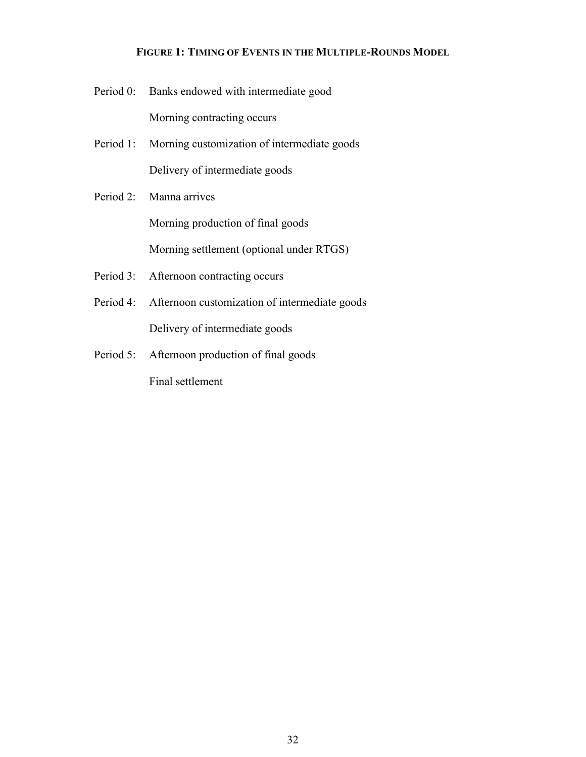## **FIGURE 1: TIMING OF EVENTS IN THE MULTIPLE-ROUNDS MODEL**

- Period 0: Banks endowed with intermediate good Morning contracting occurs
- Period 1: Morning customization of intermediate goods Delivery of intermediate goods
- Period 2: Manna arrives

Morning production of final goods

Morning settlement (optional under RTGS)

- Period 3: Afternoon contracting occurs
- Period 4: Afternoon customization of intermediate goods Delivery of intermediate goods
- Period 5: Afternoon production of final goods

Final settlement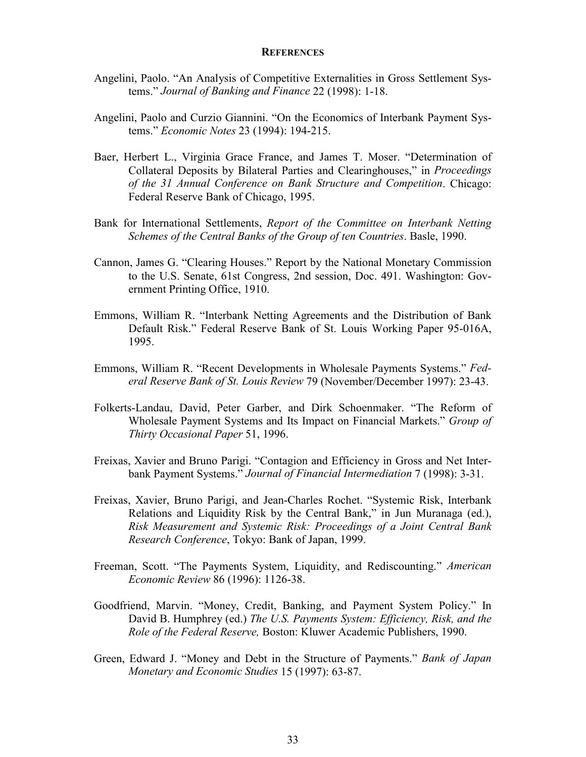#### **REFERENCES**

- Angelini, Paolo. "An Analysis of Competitive Externalities in Gross Settlement Systems." *Journal of Banking and Finance* 22 (1998): 1-18.
- Angelini, Paolo and Curzio Giannini. "On the Economics of Interbank Payment Systems." *Economic Notes* 23 (1994): 194-215.
- Baer, Herbert L., Virginia Grace France, and James T. Moser. "Determination of Collateral Deposits by Bilateral Parties and Clearinghouses," in *Proceedings of the 31 Annual Conference on Bank Structure and Competition*. Chicago: Federal Reserve Bank of Chicago, 1995.
- Bank for International Settlements, *Report of the Committee on Interbank Netting Schemes of the Central Banks of the Group of ten Countries*. Basle, 1990.
- Cannon, James G. "Clearing Houses." Report by the National Monetary Commission to the U.S. Senate, 61st Congress, 2nd session, Doc. 491. Washington: Government Printing Office, 1910.
- Emmons, William R. "Interbank Netting Agreements and the Distribution of Bank Default Risk." Federal Reserve Bank of St. Louis Working Paper 95-016A, 1995.
- Emmons, William R. "Recent Developments in Wholesale Payments Systems." *Federal Reserve Bank of St. Louis Review* 79 (November/December 1997): 23-43.
- Folkerts-Landau, David, Peter Garber, and Dirk Schoenmaker. "The Reform of Wholesale Payment Systems and Its Impact on Financial Markets." *Group of Thirty Occasional Paper* 51, 1996.
- Freixas, Xavier and Bruno Parigi. "Contagion and Efficiency in Gross and Net Interbank Payment Systems." *Journal of Financial Intermediation* 7 (1998): 3-31.
- Freixas, Xavier, Bruno Parigi, and Jean-Charles Rochet. "Systemic Risk, Interbank Relations and Liquidity Risk by the Central Bank," in Jun Muranaga (ed.), *Risk Measurement and Systemic Risk: Proceedings of a Joint Central Bank Research Conference*, Tokyo: Bank of Japan, 1999.
- Freeman, Scott. "The Payments System, Liquidity, and Rediscounting." *American Economic Review* 86 (1996): 1126-38.
- Goodfriend, Marvin. "Money, Credit, Banking, and Payment System Policy." In David B. Humphrey (ed.) *The U.S. Payments System: Efficiency, Risk, and the Role of the Federal Reserve,* Boston: Kluwer Academic Publishers, 1990.
- Green, Edward J. "Money and Debt in the Structure of Payments." *Bank of Japan Monetary and Economic Studies* 15 (1997): 63-87.